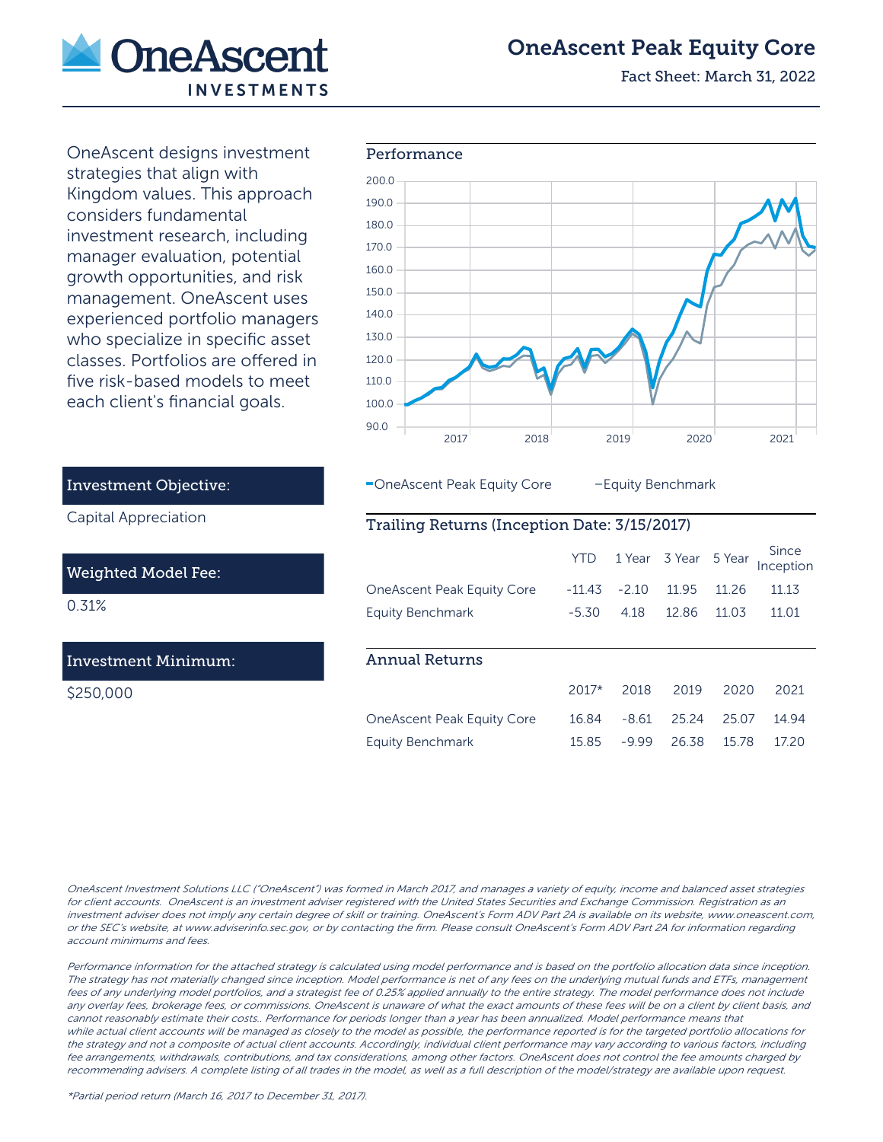

# OneAscent Peak Equity Core

Fact Sheet: March 31, 2022

OneAscent designs investment each client's financial goals.



-OneAscent Peak Equity Core - Equity Benchmark

## Trailing Returns (Inception Date: 3/15/2017)

|                                   | YTD      |         | 1 Year 3 Year 5 Year |        | Since<br>Inception |
|-----------------------------------|----------|---------|----------------------|--------|--------------------|
| <b>OneAscent Peak Equity Core</b> | $-114.3$ | $-2.10$ | 11.95                | 11 26  | 11 13              |
| <b>Equity Benchmark</b>           | $-5.30$  | 4.18    | 1286                 | 11 0.3 | 11.01              |
|                                   |          |         |                      |        |                    |
| <b>Annual Returns</b>             |          |         |                      |        |                    |
|                                   | $2017*$  | 2018    | 2019                 | 2020   | 2021               |
| <b>OneAscent Peak Equity Core</b> | 1684     | $-8.61$ | 2524                 | 25.07  | 14 94              |
| <b>Equity Benchmark</b>           | 15.85    | -9.99   | 26.38                | 1578   | 17 20              |

strategies that align with Kingdom values. This approach considers fundamental investment research, including manager evaluation, potential growth opportunities, and risk management. OneAscent uses experienced portfolio managers who specialize in specific asset classes. Portfolios are offered in five risk-based models to meet

### Investment Objective:

Capital Appreciation

#### Weighted Model Fee:

0.31%

## Investment Minimum:

\$250,000

OneAscent Investment Solutions LLC ("OneAscent") was formed in March 2017, and manages a variety of equity, income and balanced asset strategies for client accounts. OneAscent is an investment adviser registered with the United States Securities and Exchange Commission. Registration as an investment adviser does not imply any certain degree of skill or training. OneAscent's Form ADV Part 2A is available on its website, www.oneascent.com, or the SEC's website, at www.adviserinfo.sec.gov, or by contacting the firm. Please consult OneAscent's Form ADV Part 2A for information regarding account minimums and fees.

Performance information for the attached strategy is calculated using model performance and is based on the portfolio allocation data since inception. The strategy has not materially changed since inception. Model performance is net of any fees on the underlying mutual funds and ETFs, management fees of any underlying model portfolios, and a strategist fee of 0.25% applied annually to the entire strategy. The model performance does not include any overlay fees, brokerage fees, or commissions. OneAscent is unaware of what the exact amounts of these fees will be on a client by client basis, and cannot reasonably estimate their costs.. Performance for periods longer than a year has been annualized. Model performance means that while actual client accounts will be managed as closely to the model as possible, the performance reported is for the targeted portfolio allocations for the strategy and not a composite of actual client accounts. Accordingly, individual client performance may vary according to various factors, including fee arrangements, withdrawals, contributions, and tax considerations, among other factors. OneAscent does not control the fee amounts charged by recommending advisers. A complete listing of all trades in the model, as well as a full description of the model/strategy are available upon request.